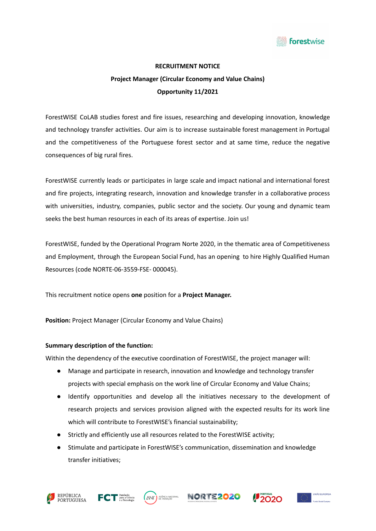

## **RECRUITMENT NOTICE**

# **Project Manager (Circular Economy and Value Chains) Opportunity 11/2021**

ForestWISE CoLAB studies forest and fire issues, researching and developing innovation, knowledge and technology transfer activities. Our aim is to increase sustainable forest management in Portugal and the competitiveness of the Portuguese forest sector and at same time, reduce the negative consequences of big rural fires.

ForestWISE currently leads or participates in large scale and impact national and international forest and fire projects, integrating research, innovation and knowledge transfer in a collaborative process with universities, industry, companies, public sector and the society. Our young and dynamic team seeks the best human resources in each of its areas of expertise. Join us!

ForestWISE, funded by the Operational Program Norte 2020, in the thematic area of Competitiveness and Employment, through the European Social Fund, has an opening to hire Highly Qualified Human Resources (code NORTE-06-3559-FSE- 000045).

This recruitment notice opens **one** position for a **Project Manager.**

**Position:** Project Manager (Circular Economy and Value Chains)

#### **Summary description of the function:**

Within the dependency of the executive coordination of ForestWISE, the project manager will:

- Manage and participate in research, innovation and knowledge and technology transfer projects with special emphasis on the work line of Circular Economy and Value Chains;
- Identify opportunities and develop all the initiatives necessary to the development of research projects and services provision aligned with the expected results for its work line which will contribute to ForestWISE's financial sustainability;
- Strictly and efficiently use all resources related to the ForestWISE activity;
- Stimulate and participate in ForestWISE's communication, dissemination and knowledge transfer initiatives;









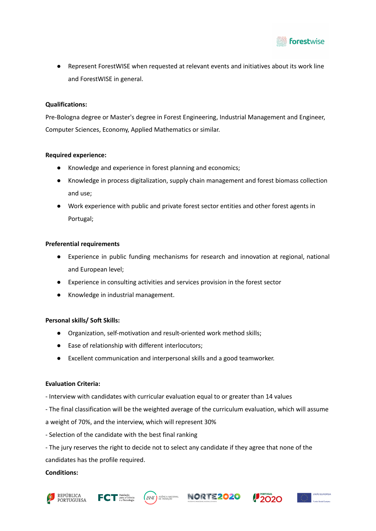

Represent ForestWISE when requested at relevant events and initiatives about its work line and ForestWISE in general.

#### **Qualifications:**

Pre-Bologna degree or Master's degree in Forest Engineering, Industrial Management and Engineer, Computer Sciences, Economy, Applied Mathematics or similar.

#### **Required experience:**

- Knowledge and experience in forest planning and economics;
- Knowledge in process digitalization, supply chain management and forest biomass collection and use;
- Work experience with public and private forest sector entities and other forest agents in Portugal;

### **Preferential requirements**

- Experience in public funding mechanisms for research and innovation at regional, national and European level;
- Experience in consulting activities and services provision in the forest sector
- Knowledge in industrial management.

#### **Personal skills/ Soft Skills:**

- Organization, self-motivation and result-oriented work method skills;
- Ease of relationship with different interlocutors;
- Excellent communication and interpersonal skills and a good teamworker.

#### **Evaluation Criteria:**

- Interview with candidates with curricular evaluation equal to or greater than 14 values
- The final classification will be the weighted average of the curriculum evaluation, which will assume
- a weight of 70%, and the interview, which will represent 30%
- Selection of the candidate with the best final ranking
- The jury reserves the right to decide not to select any candidate if they agree that none of the candidates has the profile required.

#### **Conditions:**